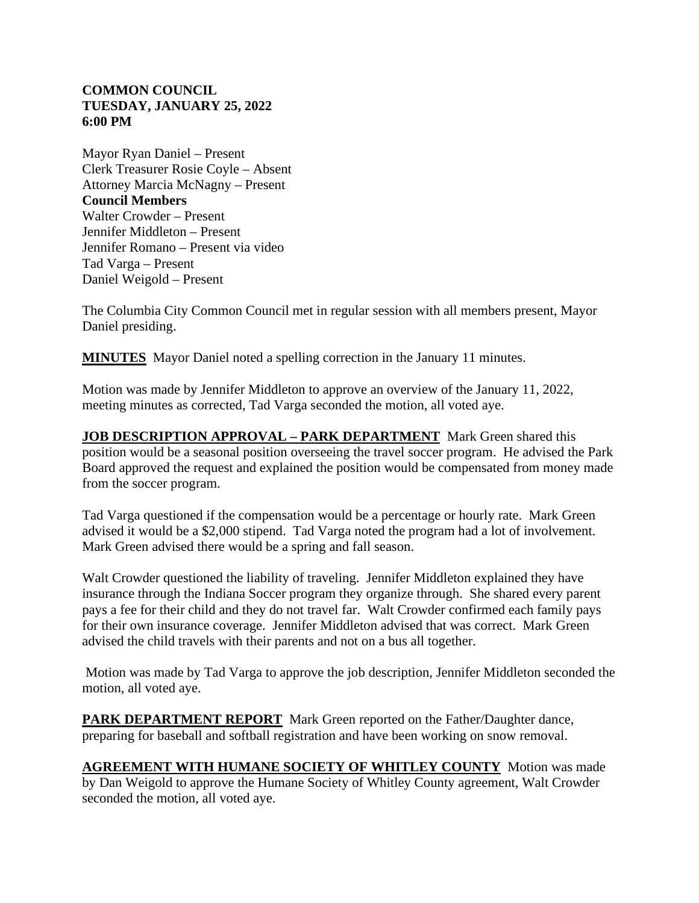## **COMMON COUNCIL TUESDAY, JANUARY 25, 2022 6:00 PM**

Mayor Ryan Daniel – Present Clerk Treasurer Rosie Coyle – Absent Attorney Marcia McNagny – Present **Council Members** Walter Crowder – Present Jennifer Middleton – Present Jennifer Romano – Present via video Tad Varga – Present Daniel Weigold – Present

The Columbia City Common Council met in regular session with all members present, Mayor Daniel presiding.

**MINUTES** Mayor Daniel noted a spelling correction in the January 11 minutes.

Motion was made by Jennifer Middleton to approve an overview of the January 11, 2022, meeting minutes as corrected, Tad Varga seconded the motion, all voted aye.

**JOB DESCRIPTION APPROVAL – PARK DEPARTMENT** Mark Green shared this position would be a seasonal position overseeing the travel soccer program. He advised the Park Board approved the request and explained the position would be compensated from money made from the soccer program.

Tad Varga questioned if the compensation would be a percentage or hourly rate. Mark Green advised it would be a \$2,000 stipend. Tad Varga noted the program had a lot of involvement. Mark Green advised there would be a spring and fall season.

Walt Crowder questioned the liability of traveling. Jennifer Middleton explained they have insurance through the Indiana Soccer program they organize through. She shared every parent pays a fee for their child and they do not travel far. Walt Crowder confirmed each family pays for their own insurance coverage. Jennifer Middleton advised that was correct. Mark Green advised the child travels with their parents and not on a bus all together.

Motion was made by Tad Varga to approve the job description, Jennifer Middleton seconded the motion, all voted aye.

**PARK DEPARTMENT REPORT** Mark Green reported on the Father/Daughter dance, preparing for baseball and softball registration and have been working on snow removal.

**AGREEMENT WITH HUMANE SOCIETY OF WHITLEY COUNTY** Motion was made by Dan Weigold to approve the Humane Society of Whitley County agreement, Walt Crowder seconded the motion, all voted aye.